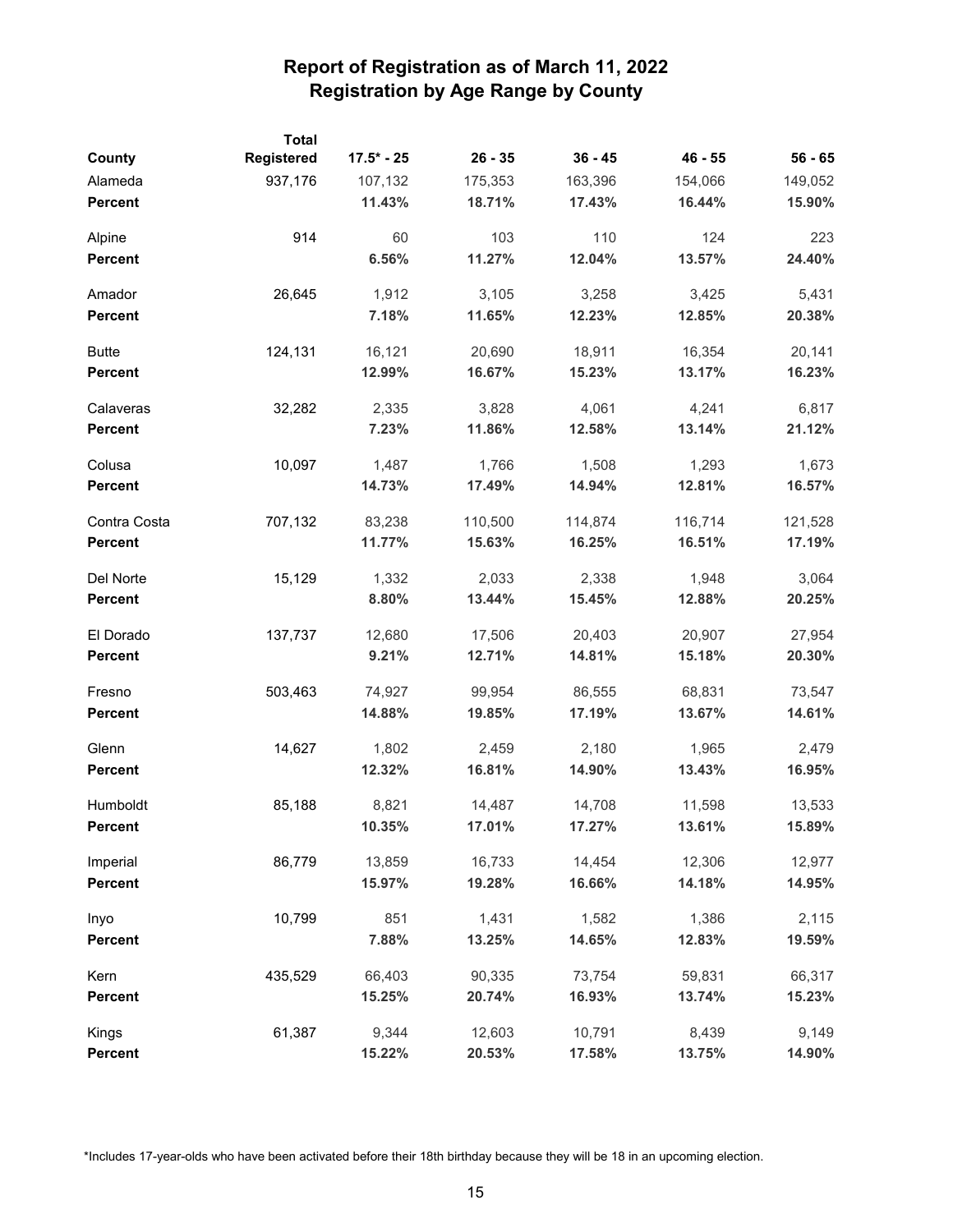| County         | <b>Total</b><br>Registered | $17.5* - 25$ | $26 - 35$ | $36 - 45$ | $46 - 55$ | $56 - 65$ |
|----------------|----------------------------|--------------|-----------|-----------|-----------|-----------|
| Alameda        | 937,176                    | 107,132      | 175,353   | 163,396   | 154,066   | 149,052   |
| <b>Percent</b> |                            | 11.43%       | 18.71%    | 17.43%    | 16.44%    | 15.90%    |
| Alpine         | 914                        | 60           | 103       | 110       | 124       | 223       |
| <b>Percent</b> |                            | 6.56%        | 11.27%    | 12.04%    | 13.57%    | 24.40%    |
| Amador         | 26,645                     | 1,912        | 3,105     | 3,258     | 3,425     | 5,431     |
| <b>Percent</b> |                            | 7.18%        | 11.65%    | 12.23%    | 12.85%    | 20.38%    |
| <b>Butte</b>   | 124,131                    | 16,121       | 20,690    | 18,911    | 16,354    | 20,141    |
| Percent        |                            | 12.99%       | 16.67%    | 15.23%    | 13.17%    | 16.23%    |
| Calaveras      | 32,282                     | 2,335        | 3,828     | 4,061     | 4,241     | 6,817     |
| Percent        |                            | 7.23%        | 11.86%    | 12.58%    | 13.14%    | 21.12%    |
| Colusa         | 10,097                     | 1,487        | 1,766     | 1,508     | 1,293     | 1,673     |
| <b>Percent</b> |                            | 14.73%       | 17.49%    | 14.94%    | 12.81%    | 16.57%    |
| Contra Costa   | 707,132                    | 83,238       | 110,500   | 114,874   | 116,714   | 121,528   |
| <b>Percent</b> |                            | 11.77%       | 15.63%    | 16.25%    | 16.51%    | 17.19%    |
| Del Norte      | 15,129                     | 1,332        | 2,033     | 2,338     | 1,948     | 3,064     |
| <b>Percent</b> |                            | 8.80%        | 13.44%    | 15.45%    | 12.88%    | 20.25%    |
| El Dorado      | 137,737                    | 12,680       | 17,506    | 20,403    | 20,907    | 27,954    |
| <b>Percent</b> |                            | 9.21%        | 12.71%    | 14.81%    | 15.18%    | 20.30%    |
| Fresno         | 503,463                    | 74,927       | 99,954    | 86,555    | 68,831    | 73,547    |
| <b>Percent</b> |                            | 14.88%       | 19.85%    | 17.19%    | 13.67%    | 14.61%    |
| Glenn          | 14,627                     | 1,802        | 2,459     | 2,180     | 1,965     | 2,479     |
| <b>Percent</b> |                            | 12.32%       | 16.81%    | 14.90%    | 13.43%    | 16.95%    |
| Humboldt       | 85,188                     | 8,821        | 14,487    | 14,708    | 11,598    | 13,533    |
| <b>Percent</b> |                            | 10.35%       | 17.01%    | 17.27%    | 13.61%    | 15.89%    |
| Imperial       | 86,779                     | 13,859       | 16,733    | 14,454    | 12,306    | 12,977    |
| <b>Percent</b> |                            | 15.97%       | 19.28%    | 16.66%    | 14.18%    | 14.95%    |
| Inyo           | 10,799                     | 851          | 1,431     | 1,582     | 1,386     | 2,115     |
| <b>Percent</b> |                            | 7.88%        | 13.25%    | 14.65%    | 12.83%    | 19.59%    |
| Kern           | 435,529                    | 66,403       | 90,335    | 73,754    | 59,831    | 66,317    |
| <b>Percent</b> |                            | 15.25%       | 20.74%    | 16.93%    | 13.74%    | 15.23%    |
| Kings          | 61,387                     | 9,344        | 12,603    | 10,791    | 8,439     | 9,149     |
| <b>Percent</b> |                            | 15.22%       | 20.53%    | 17.58%    | 13.75%    | 14.90%    |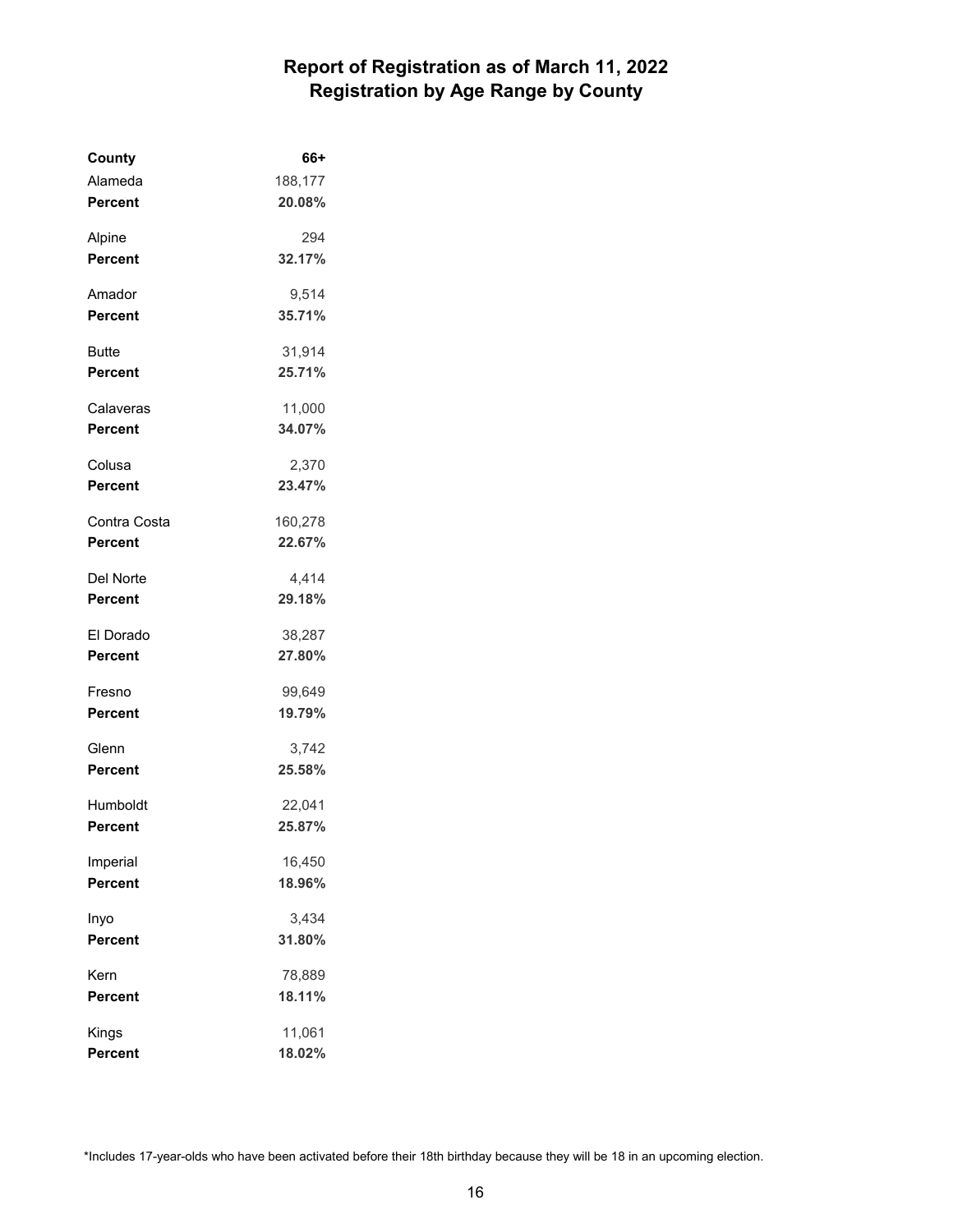| County         | 66+     |
|----------------|---------|
| Alameda        | 188,177 |
| <b>Percent</b> | 20.08%  |
| Alpine         | 294     |
| <b>Percent</b> | 32.17%  |
| Amador         | 9,514   |
| <b>Percent</b> | 35.71%  |
| Butte          | 31,914  |
| <b>Percent</b> | 25.71%  |
| Calaveras      | 11,000  |
| <b>Percent</b> | 34.07%  |
| Colusa         | 2,370   |
| Percent        | 23.47%  |
| Contra Costa   | 160,278 |
| Percent        | 22.67%  |
| Del Norte      | 4,414   |
| <b>Percent</b> | 29.18%  |
| El Dorado      | 38,287  |
| <b>Percent</b> | 27.80%  |
| Fresno         | 99,649  |
| <b>Percent</b> | 19.79%  |
| Glenn          | 3,742   |
| Percent        | 25.58%  |
| Humboldt       | 22,041  |
| Percent        | 25.87%  |
| Imperial       | 16,450  |
| <b>Percent</b> | 18.96%  |
| Inyo           | 3,434   |
| <b>Percent</b> | 31.80%  |
| Kern           | 78,889  |
| Percent        | 18.11%  |
| Kings          | 11,061  |
| Percent        | 18.02%  |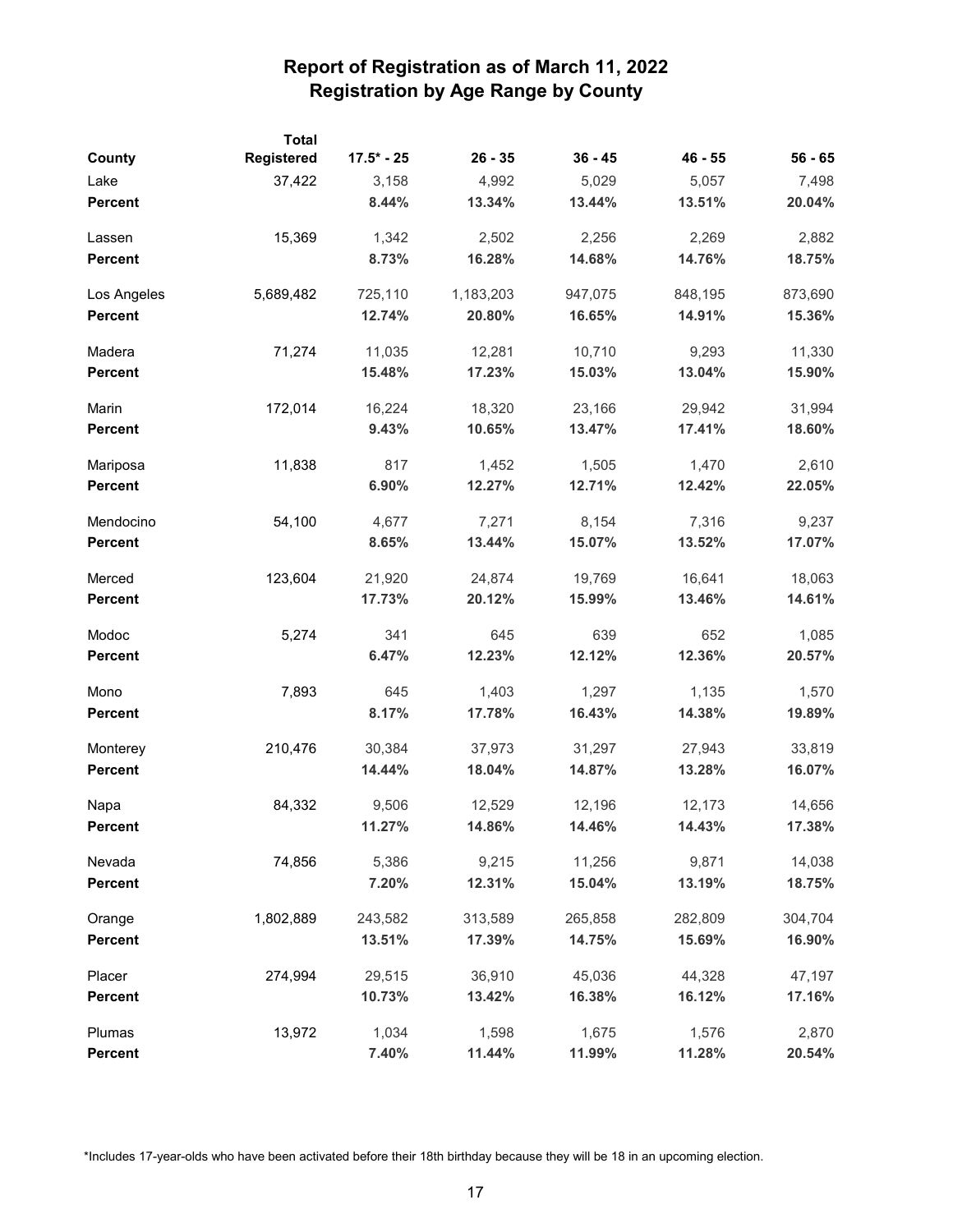|                | <b>Total</b> |              |           |           |           |           |
|----------------|--------------|--------------|-----------|-----------|-----------|-----------|
| County         | Registered   | $17.5* - 25$ | $26 - 35$ | $36 - 45$ | $46 - 55$ | $56 - 65$ |
| Lake           | 37,422       | 3,158        | 4,992     | 5,029     | 5,057     | 7,498     |
| <b>Percent</b> |              | 8.44%        | 13.34%    | 13.44%    | 13.51%    | 20.04%    |
| Lassen         | 15,369       | 1,342        | 2,502     | 2,256     | 2,269     | 2,882     |
| <b>Percent</b> |              | 8.73%        | 16.28%    | 14.68%    | 14.76%    | 18.75%    |
| Los Angeles    | 5,689,482    | 725,110      | 1,183,203 | 947,075   | 848,195   | 873,690   |
| <b>Percent</b> |              | 12.74%       | 20.80%    | 16.65%    | 14.91%    | 15.36%    |
| Madera         | 71,274       | 11,035       | 12,281    | 10,710    | 9,293     | 11,330    |
| <b>Percent</b> |              | 15.48%       | 17.23%    | 15.03%    | 13.04%    | 15.90%    |
| Marin          | 172,014      | 16,224       | 18,320    | 23,166    | 29,942    | 31,994    |
| <b>Percent</b> |              | 9.43%        | 10.65%    | 13.47%    | 17.41%    | 18.60%    |
| Mariposa       | 11,838       | 817          | 1,452     | 1,505     | 1,470     | 2,610     |
| <b>Percent</b> |              | 6.90%        | 12.27%    | 12.71%    | 12.42%    | 22.05%    |
| Mendocino      | 54,100       | 4,677        | 7,271     | 8,154     | 7,316     | 9,237     |
| <b>Percent</b> |              | 8.65%        | 13.44%    | 15.07%    | 13.52%    | 17.07%    |
| Merced         | 123,604      | 21,920       | 24,874    | 19,769    | 16,641    | 18,063    |
| <b>Percent</b> |              | 17.73%       | 20.12%    | 15.99%    | 13.46%    | 14.61%    |
| Modoc          | 5,274        | 341          | 645       | 639       | 652       | 1,085     |
| <b>Percent</b> |              | 6.47%        | 12.23%    | 12.12%    | 12.36%    | 20.57%    |
| Mono           | 7,893        | 645          | 1,403     | 1,297     | 1,135     | 1,570     |
| <b>Percent</b> |              | 8.17%        | 17.78%    | 16.43%    | 14.38%    | 19.89%    |
| Monterey       | 210,476      | 30,384       | 37,973    | 31,297    | 27,943    | 33,819    |
| <b>Percent</b> |              | 14.44%       | 18.04%    | 14.87%    | 13.28%    | 16.07%    |
| Napa           | 84,332       | 9,506        | 12,529    | 12,196    | 12,173    | 14,656    |
| Percent        |              | 11.27%       | 14.86%    | 14.46%    | 14.43%    | 17.38%    |
| Nevada         | 74,856       | 5,386        | 9,215     | 11,256    | 9,871     | 14,038    |
| <b>Percent</b> |              | 7.20%        | 12.31%    | 15.04%    | 13.19%    | 18.75%    |
| Orange         | 1,802,889    | 243,582      | 313,589   | 265,858   | 282,809   | 304,704   |
| <b>Percent</b> |              | 13.51%       | 17.39%    | 14.75%    | 15.69%    | 16.90%    |
| Placer         | 274,994      | 29,515       | 36,910    | 45,036    | 44,328    | 47,197    |
| <b>Percent</b> |              | 10.73%       | 13.42%    | 16.38%    | 16.12%    | 17.16%    |
| Plumas         | 13,972       | 1,034        | 1,598     | 1,675     | 1,576     | 2,870     |
| <b>Percent</b> |              | 7.40%        | 11.44%    | 11.99%    | 11.28%    | 20.54%    |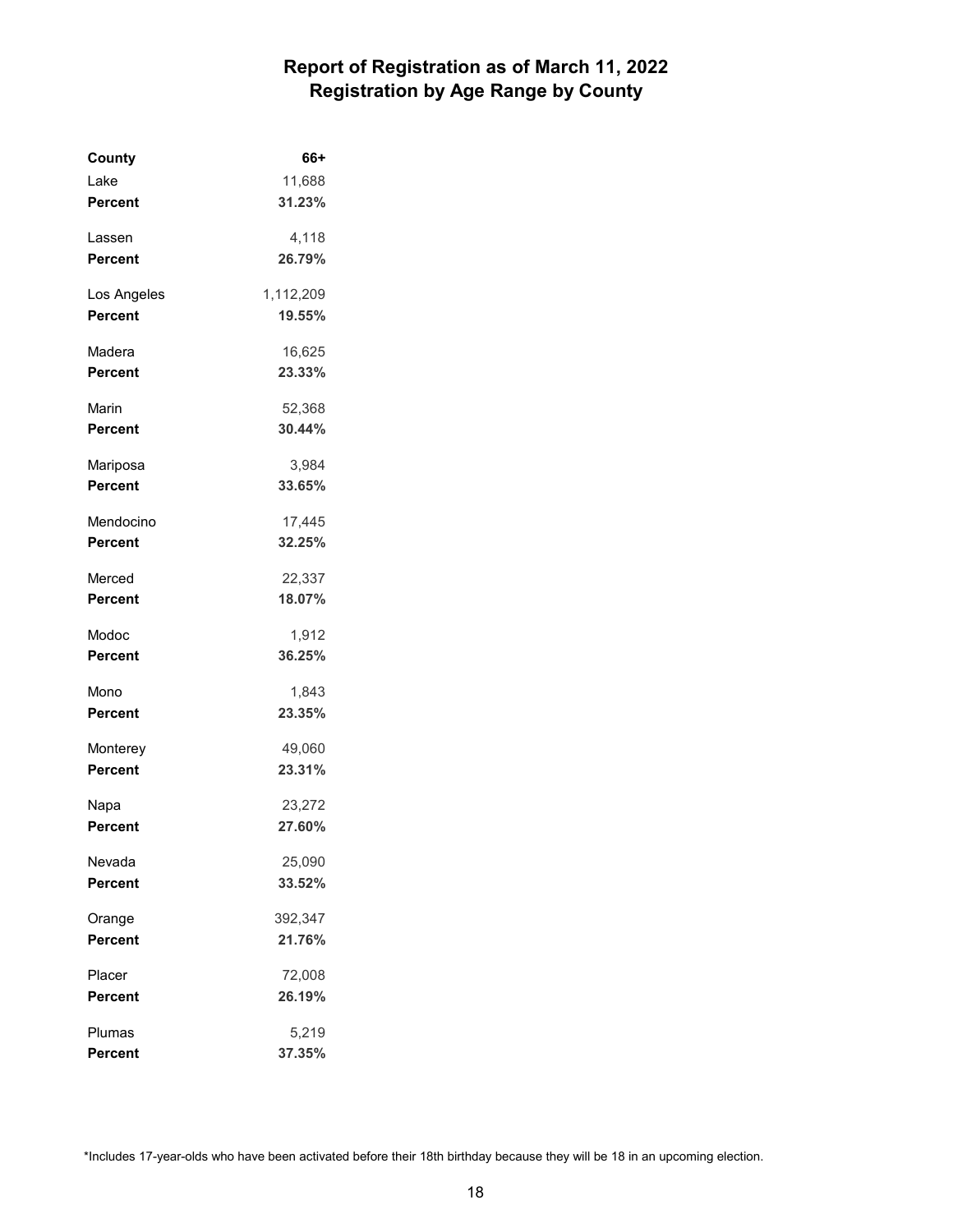| County         | 66+       |
|----------------|-----------|
| Lake           | 11,688    |
| <b>Percent</b> | 31.23%    |
| Lassen         | 4,118     |
| <b>Percent</b> | 26.79%    |
| Los Angeles    | 1,112,209 |
| <b>Percent</b> | 19.55%    |
| Madera         | 16,625    |
| <b>Percent</b> | 23.33%    |
| Marin          | 52,368    |
| Percent        | 30.44%    |
| Mariposa       | 3.984     |
| <b>Percent</b> | 33.65%    |
| Mendocino      | 17,445    |
| Percent        | 32.25%    |
| Merced         | 22,337    |
| <b>Percent</b> | 18.07%    |
| Modoc          | 1,912     |
| <b>Percent</b> | 36.25%    |
| Mono           | 1,843     |
| Percent        | 23.35%    |
| Monterey       | 49,060    |
| <b>Percent</b> | 23.31%    |
| Napa           | 23,272    |
| Percent        | 27.60%    |
| Nevada         | 25,090    |
| Percent        | 33.52%    |
| Orange         | 392,347   |
| <b>Percent</b> | 21.76%    |
| Placer         | 72,008    |
| Percent        | 26.19%    |
| Plumas         | 5,219     |
| <b>Percent</b> | 37.35%    |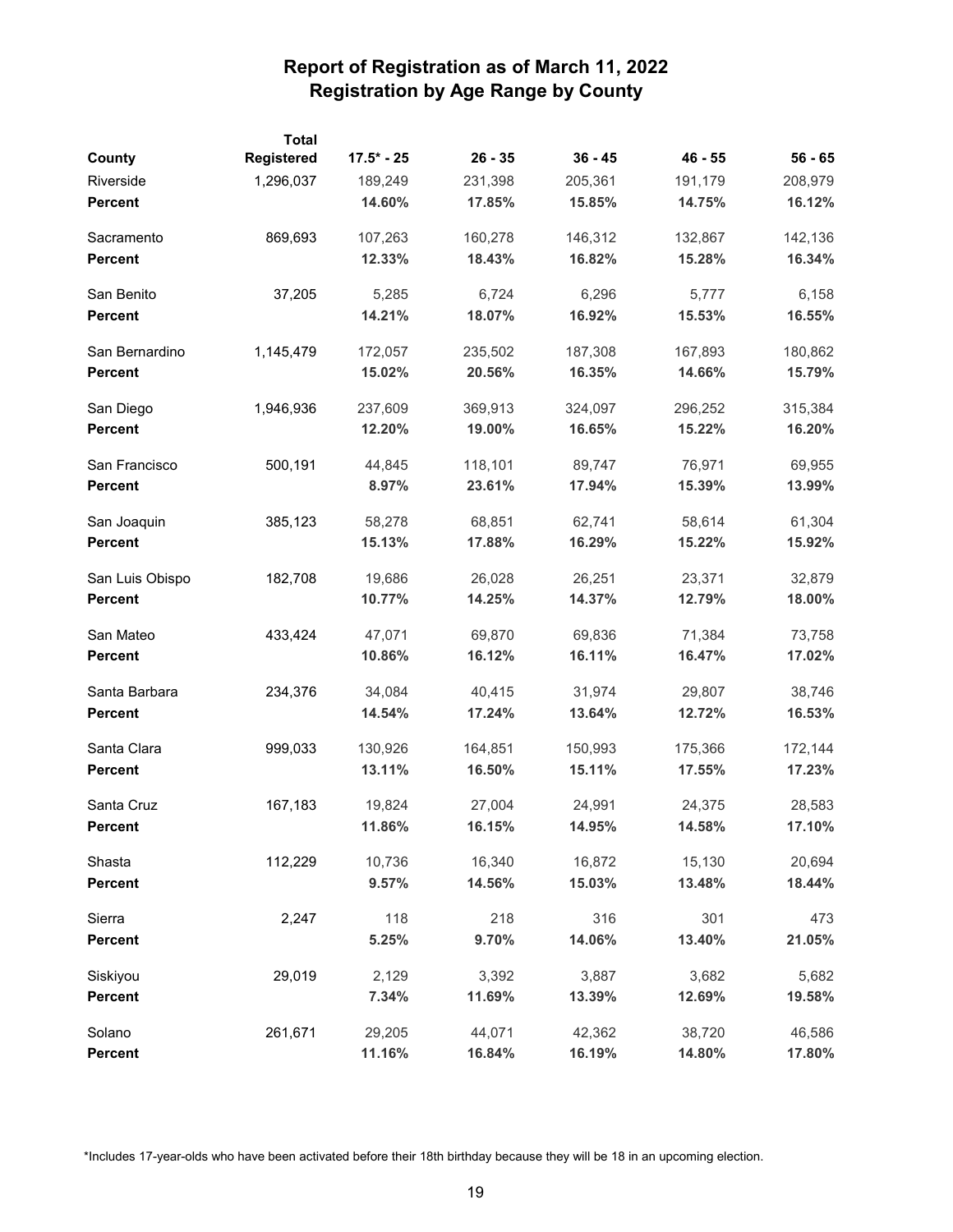| County          | <b>Total</b><br>Registered | $17.5* - 25$ | $26 - 35$ | $36 - 45$ | $46 - 55$ | $56 - 65$ |
|-----------------|----------------------------|--------------|-----------|-----------|-----------|-----------|
| Riverside       | 1,296,037                  | 189,249      | 231,398   | 205,361   | 191,179   | 208,979   |
| <b>Percent</b>  |                            | 14.60%       | 17.85%    | 15.85%    | 14.75%    | 16.12%    |
| Sacramento      | 869,693                    | 107,263      | 160,278   | 146,312   | 132,867   | 142,136   |
| <b>Percent</b>  |                            | 12.33%       | 18.43%    | 16.82%    | 15.28%    | 16.34%    |
| San Benito      | 37,205                     | 5,285        | 6,724     | 6,296     | 5,777     | 6,158     |
| <b>Percent</b>  |                            | 14.21%       | 18.07%    | 16.92%    | 15.53%    | 16.55%    |
| San Bernardino  | 1,145,479                  | 172,057      | 235,502   | 187,308   | 167,893   | 180,862   |
| <b>Percent</b>  |                            | 15.02%       | 20.56%    | 16.35%    | 14.66%    | 15.79%    |
| San Diego       | 1,946,936                  | 237,609      | 369,913   | 324,097   | 296,252   | 315,384   |
| <b>Percent</b>  |                            | 12.20%       | 19.00%    | 16.65%    | 15.22%    | 16.20%    |
| San Francisco   | 500,191                    | 44,845       | 118,101   | 89,747    | 76,971    | 69,955    |
| <b>Percent</b>  |                            | 8.97%        | 23.61%    | 17.94%    | 15.39%    | 13.99%    |
| San Joaquin     | 385,123                    | 58,278       | 68,851    | 62,741    | 58,614    | 61,304    |
| <b>Percent</b>  |                            | 15.13%       | 17.88%    | 16.29%    | 15.22%    | 15.92%    |
| San Luis Obispo | 182,708                    | 19,686       | 26,028    | 26,251    | 23,371    | 32,879    |
| <b>Percent</b>  |                            | 10.77%       | 14.25%    | 14.37%    | 12.79%    | 18.00%    |
| San Mateo       | 433,424                    | 47,071       | 69,870    | 69,836    | 71,384    | 73,758    |
| <b>Percent</b>  |                            | 10.86%       | 16.12%    | 16.11%    | 16.47%    | 17.02%    |
| Santa Barbara   | 234,376                    | 34,084       | 40,415    | 31,974    | 29,807    | 38,746    |
| <b>Percent</b>  |                            | 14.54%       | 17.24%    | 13.64%    | 12.72%    | 16.53%    |
| Santa Clara     | 999,033                    | 130,926      | 164,851   | 150,993   | 175,366   | 172,144   |
| Percent         |                            | 13.11%       | 16.50%    | 15.11%    | 17.55%    | 17.23%    |
| Santa Cruz      | 167,183                    | 19,824       | 27,004    | 24,991    | 24,375    | 28,583    |
| <b>Percent</b>  |                            | 11.86%       | 16.15%    | 14.95%    | 14.58%    | 17.10%    |
| Shasta          | 112,229                    | 10,736       | 16,340    | 16,872    | 15,130    | 20,694    |
| <b>Percent</b>  |                            | 9.57%        | 14.56%    | 15.03%    | 13.48%    | 18.44%    |
| Sierra          | 2,247                      | 118          | 218       | 316       | 301       | 473       |
| <b>Percent</b>  |                            | 5.25%        | 9.70%     | 14.06%    | 13.40%    | 21.05%    |
| Siskiyou        | 29,019                     | 2,129        | 3,392     | 3,887     | 3,682     | 5,682     |
| <b>Percent</b>  |                            | 7.34%        | 11.69%    | 13.39%    | 12.69%    | 19.58%    |
| Solano          | 261,671                    | 29,205       | 44,071    | 42,362    | 38,720    | 46,586    |
| <b>Percent</b>  |                            | 11.16%       | 16.84%    | 16.19%    | 14.80%    | 17.80%    |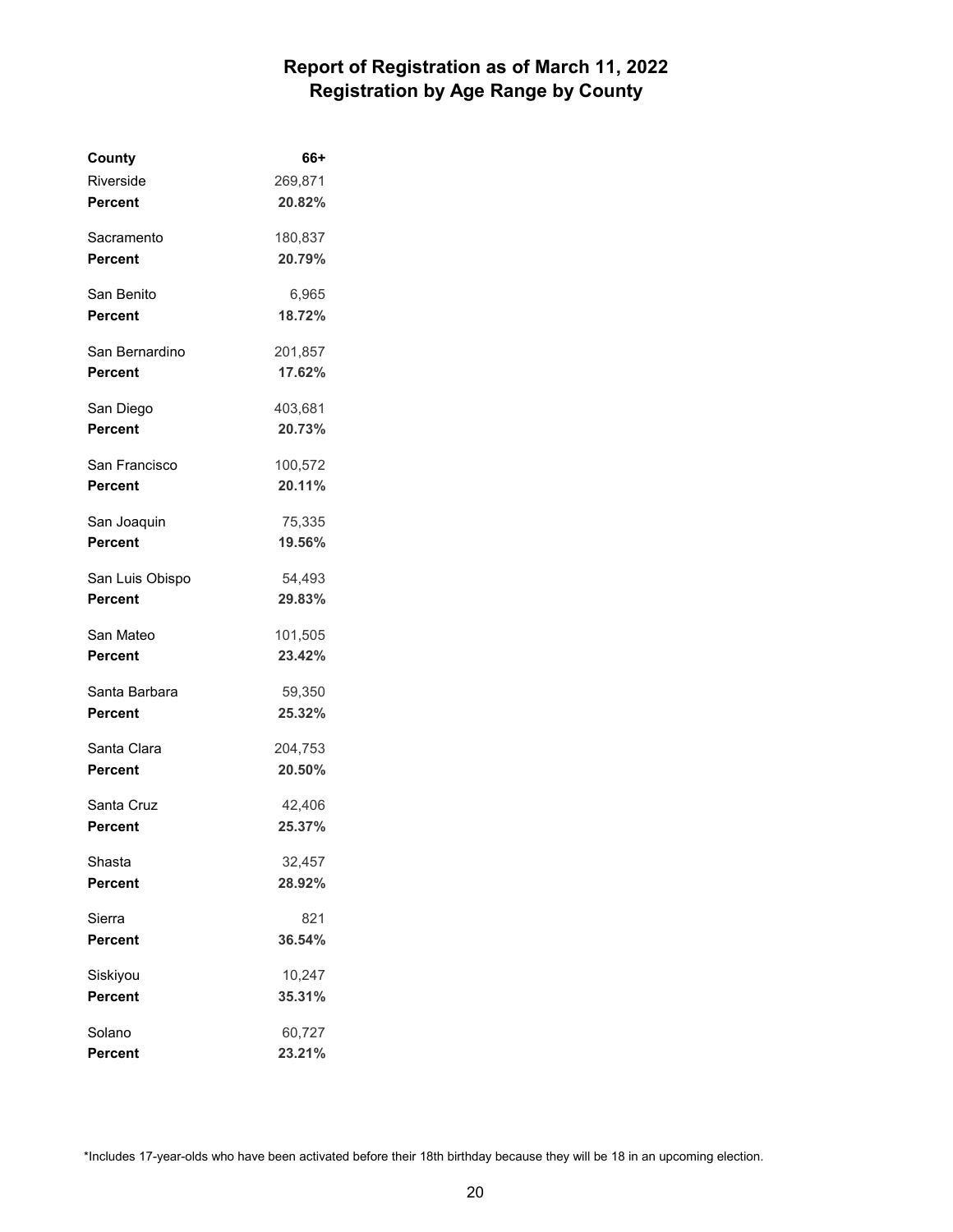| County          | 66+     |
|-----------------|---------|
| Riverside       | 269,871 |
| Percent         | 20.82%  |
| Sacramento      | 180,837 |
| Percent         | 20.79%  |
| San Benito      | 6,965   |
| Percent         | 18.72%  |
| San Bernardino  | 201,857 |
| Percent         | 17.62%  |
| San Diego       | 403,681 |
| Percent         | 20.73%  |
| San Francisco   | 100,572 |
| Percent         | 20.11%  |
| San Joaquin     | 75,335  |
| Percent         | 19.56%  |
| San Luis Obispo | 54,493  |
| Percent         | 29.83%  |
| San Mateo       | 101,505 |
| Percent         | 23.42%  |
| Santa Barbara   | 59,350  |
| Percent         | 25.32%  |
| Santa Clara     | 204,753 |
| Percent         | 20.50%  |
| Santa Cruz      | 42,406  |
| Percent         | 25.37%  |
| Shasta          | 32,457  |
| Percent         | 28.92%  |
| Sierra          | 821     |
| Percent         | 36.54%  |
| Siskiyou        | 10,247  |
| Percent         | 35.31%  |
| Solano          | 60,727  |
| Percent         | 23.21%  |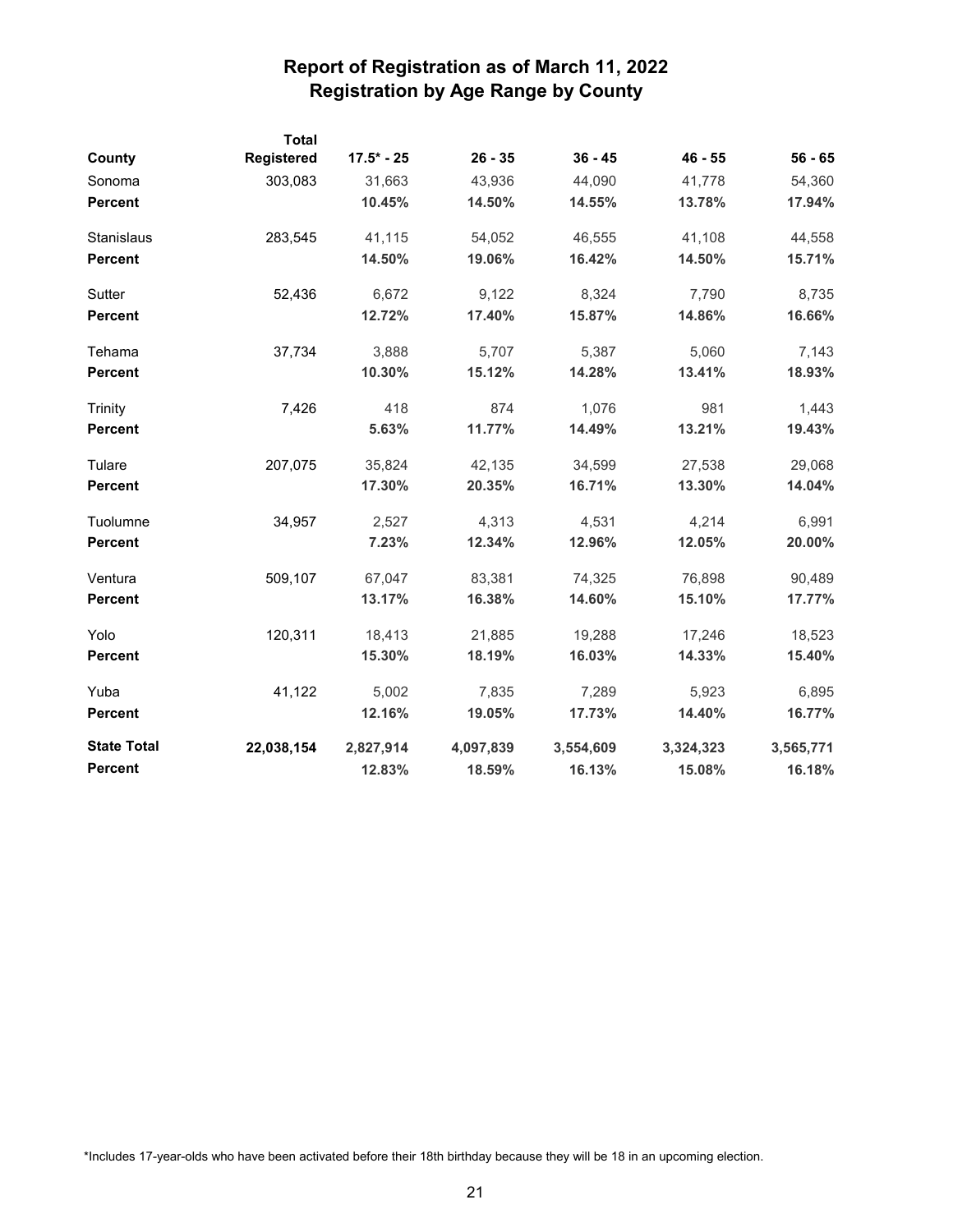|                    | <b>Total</b> |              |           |           |           |           |
|--------------------|--------------|--------------|-----------|-----------|-----------|-----------|
| County             | Registered   | $17.5* - 25$ | $26 - 35$ | $36 - 45$ | $46 - 55$ | $56 - 65$ |
| Sonoma             | 303,083      | 31,663       | 43,936    | 44,090    | 41,778    | 54,360    |
| <b>Percent</b>     |              | 10.45%       | 14.50%    | 14.55%    | 13.78%    | 17.94%    |
| Stanislaus         | 283,545      | 41,115       | 54,052    | 46,555    | 41,108    | 44,558    |
| Percent            |              | 14.50%       | 19.06%    | 16.42%    | 14.50%    | 15.71%    |
| Sutter             | 52,436       | 6,672        | 9,122     | 8,324     | 7,790     | 8,735     |
| <b>Percent</b>     |              | 12.72%       | 17.40%    | 15.87%    | 14.86%    | 16.66%    |
| Tehama             | 37,734       | 3,888        | 5,707     | 5,387     | 5,060     | 7,143     |
| <b>Percent</b>     |              | 10.30%       | 15.12%    | 14.28%    | 13.41%    | 18.93%    |
| Trinity            | 7,426        | 418          | 874       | 1,076     | 981       | 1,443     |
| <b>Percent</b>     |              | 5.63%        | 11.77%    | 14.49%    | 13.21%    | 19.43%    |
| Tulare             | 207,075      | 35,824       | 42,135    | 34,599    | 27,538    | 29,068    |
| <b>Percent</b>     |              | 17.30%       | 20.35%    | 16.71%    | 13.30%    | 14.04%    |
| Tuolumne           | 34,957       | 2,527        | 4,313     | 4,531     | 4,214     | 6,991     |
| <b>Percent</b>     |              | 7.23%        | 12.34%    | 12.96%    | 12.05%    | 20.00%    |
| Ventura            | 509,107      | 67,047       | 83,381    | 74,325    | 76,898    | 90,489    |
| <b>Percent</b>     |              | 13.17%       | 16.38%    | 14.60%    | 15.10%    | 17.77%    |
| Yolo               | 120,311      | 18,413       | 21,885    | 19,288    | 17,246    | 18,523    |
| <b>Percent</b>     |              | 15.30%       | 18.19%    | 16.03%    | 14.33%    | 15.40%    |
| Yuba               | 41,122       | 5,002        | 7,835     | 7,289     | 5,923     | 6,895     |
| <b>Percent</b>     |              | 12.16%       | 19.05%    | 17.73%    | 14.40%    | 16.77%    |
| <b>State Total</b> | 22,038,154   | 2,827,914    | 4,097,839 | 3,554,609 | 3,324,323 | 3,565,771 |
| <b>Percent</b>     |              | 12.83%       | 18.59%    | 16.13%    | 15.08%    | 16.18%    |